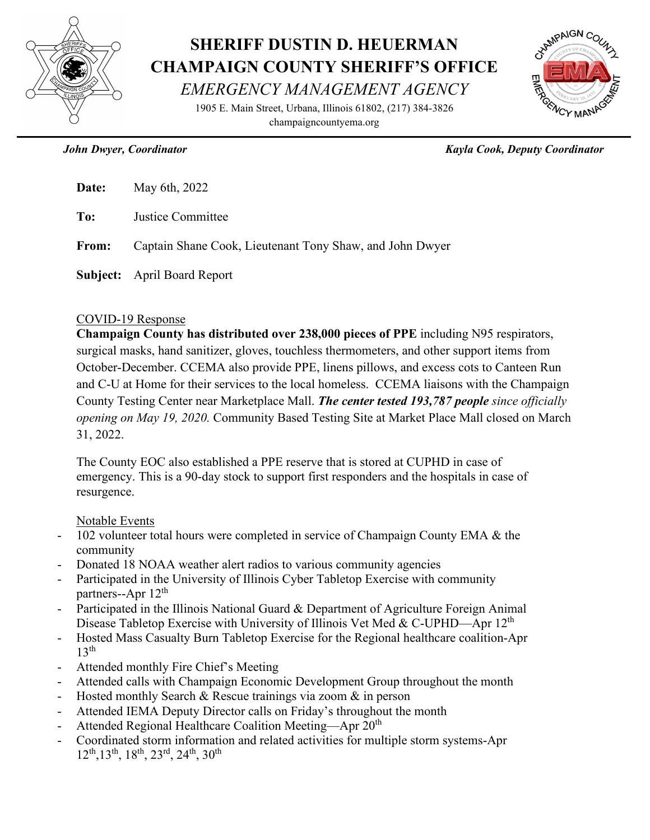

## **SHERIFF DUSTIN D. HEUERMAN CHAMPAIGN COUNTY SHERIFF'S OFFICE** *EMERGENCY MANAGEMENT AGENCY*

1905 E. Main Street, Urbana, Illinois 61802, (217) 384-3826 champaigncountyema.org



 *John Dwyer, Coordinator Kayla Cook, Deputy Coordinator*

| <b>Date:</b> May 6th, $2022$                                   |
|----------------------------------------------------------------|
| <b>To:</b> Justice Committee                                   |
| From: Captain Shane Cook, Lieutenant Tony Shaw, and John Dwyer |
|                                                                |

**Subject:** April Board Report

## COVID-19 Response

**Champaign County has distributed over 238,000 pieces of PPE** including N95 respirators, surgical masks, hand sanitizer, gloves, touchless thermometers, and other support items from October-December. CCEMA also provide PPE, linens pillows, and excess cots to Canteen Run and C-U at Home for their services to the local homeless. CCEMA liaisons with the Champaign County Testing Center near Marketplace Mall. *The center tested 193,787 people since officially opening on May 19, 2020.* Community Based Testing Site at Market Place Mall closed on March 31, 2022.

The County EOC also established a PPE reserve that is stored at CUPHD in case of emergency. This is a 90-day stock to support first responders and the hospitals in case of resurgence.

## Notable Events

- 102 volunteer total hours were completed in service of Champaign County EMA & the community
- Donated 18 NOAA weather alert radios to various community agencies
- Participated in the University of Illinois Cyber Tabletop Exercise with community partners--Apr 12<sup>th</sup>
- Participated in the Illinois National Guard & Department of Agriculture Foreign Animal Disease Tabletop Exercise with University of Illinois Vet Med & C-UPHD—Apr  $12<sup>th</sup>$
- Hosted Mass Casualty Burn Tabletop Exercise for the Regional healthcare coalition-Apr  $13<sup>th</sup>$
- Attended monthly Fire Chief's Meeting
- Attended calls with Champaign Economic Development Group throughout the month
- Hosted monthly Search & Rescue trainings via zoom  $\&$  in person
- Attended IEMA Deputy Director calls on Friday's throughout the month
- Attended Regional Healthcare Coalition Meeting—Apr 20<sup>th</sup>
- Coordinated storm information and related activities for multiple storm systems-Apr 12th,13th, 18th, 23rd, 24th, 30th